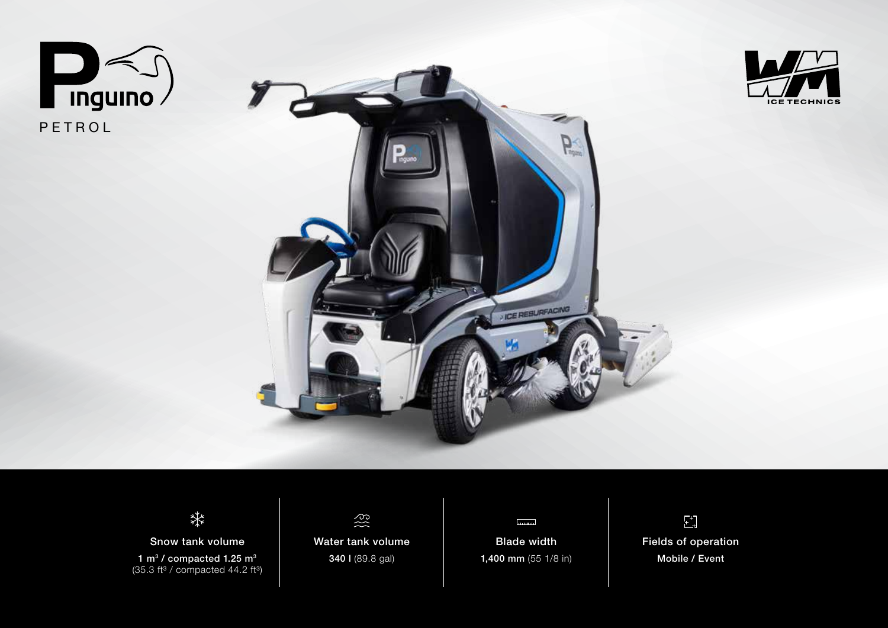







Snow tank volume 1 m<sup>3</sup> / compacted 1.25 m<sup>3</sup>  $(35.3 \text{ ft}^3 / \text{compacted } 44.2 \text{ ft}^3)$ 



Water tank volume 340 l (89.8 gal)



Blade width 1,400 mm (55 1/8 in)

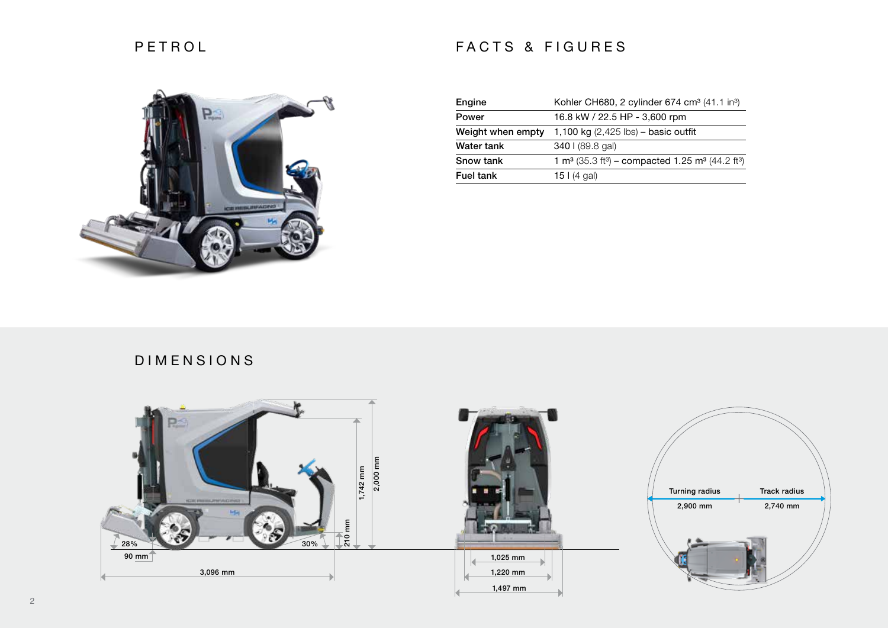## PETROL





| Engine            | Kohler CH680, 2 cylinder 674 cm <sup>3</sup> (41.1 in <sup>3</sup> )                             |
|-------------------|--------------------------------------------------------------------------------------------------|
| Power             | 16.8 kW / 22.5 HP - 3,600 rpm                                                                    |
| Weight when empty | 1,100 kg $(2,425$ lbs) – basic outfit                                                            |
| Water tank        | 340   (89.8 gal)                                                                                 |
| Snow tank         | 1 m <sup>3</sup> (35.3 ft <sup>3</sup> ) – compacted 1.25 m <sup>3</sup> (44.2 ft <sup>3</sup> ) |
| <b>Fuel tank</b>  | 15 $(4$ gal)                                                                                     |

## DIMENSIONS

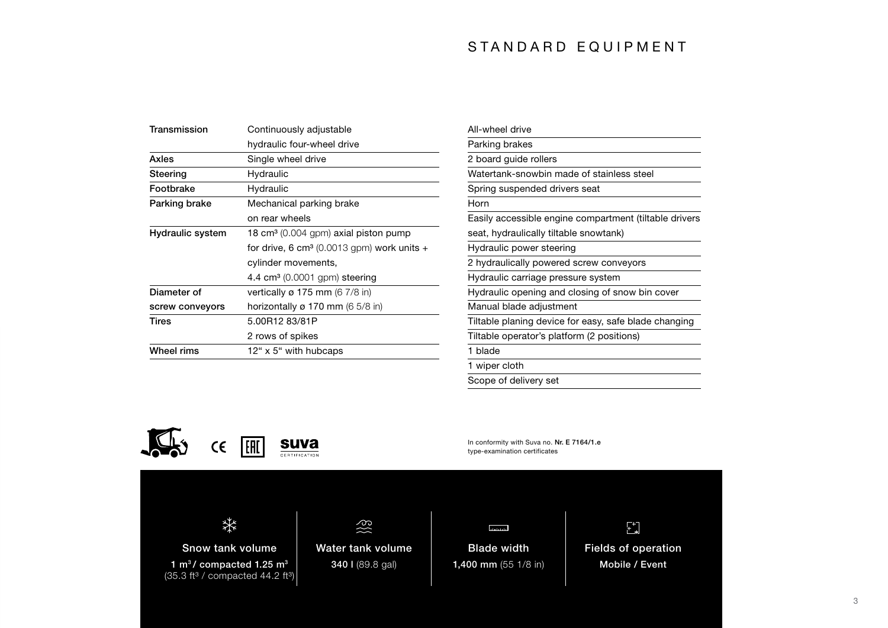## S TANDARD EQUIPMENT

| Transmission     | Continuously adjustable                                |
|------------------|--------------------------------------------------------|
|                  | hydraulic four-wheel drive                             |
| Axles            | Single wheel drive                                     |
| Steering         | Hydraulic                                              |
| Footbrake        | Hydraulic                                              |
| Parking brake    | Mechanical parking brake                               |
|                  | on rear wheels                                         |
| Hydraulic system | 18 cm <sup>3</sup> (0.004 gpm) axial piston pump       |
|                  | for drive, 6 cm <sup>3</sup> (0.0013 gpm) work units + |
|                  | cylinder movements,                                    |
|                  | 4.4 $cm3$ (0.0001 gpm) steering                        |
| Diameter of      | vertically $\varnothing$ 175 mm (6 7/8 in)             |
| screw conveyors  | horizontally ø 170 mm (6 5/8 in)                       |
| Tires            | 5.00R12 83/81P                                         |
|                  | 2 rows of spikes                                       |
| Wheel rims       | 12" x 5" with hubcaps                                  |

| All-wheel drive                                        |
|--------------------------------------------------------|
| Parking brakes                                         |
| 2 board guide rollers                                  |
| Watertank-snowbin made of stainless steel              |
| Spring suspended drivers seat                          |
| Horn                                                   |
| Easily accessible engine compartment (tiltable drivers |
| seat, hydraulically tiltable snowtank)                 |
| Hydraulic power steering                               |
| 2 hydraulically powered screw conveyors                |
| Hydraulic carriage pressure system                     |
| Hydraulic opening and closing of snow bin cover        |
| Manual blade adjustment                                |
| Tiltable planing device for easy, safe blade changing  |
| Tiltable operator's platform (2 positions)             |
| 1 blade                                                |
| 1 wiper cloth                                          |
| Scope of delivery set                                  |

In conformity with Suva no. Nr. E 7164/1.e

type-examination certificates

**Louisian** 



Snow tank volume 1  $m^3$ / compacted 1.25  $m^3$  $(35.3 \text{ ft}^3 / \text{compacted } 44.2 \text{ ft}^3)$ 

340 l (89.8 gal)

Water tank volume Blade width 1,400 mm (55 1/8 in)

 $\mathfrak{t}^*$ Fields of operation

Mobile / Event